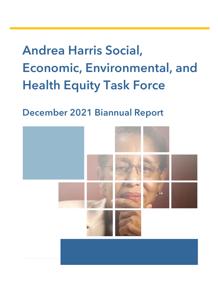# Andrea Harris Social, Economic, Environmental, and Health Equity Task Force

December 2021 Biannual Report

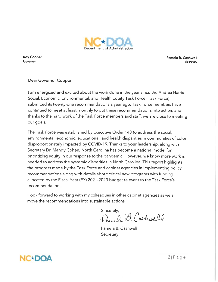

**Roy Cooper** Governor

Pamela B. Cashwell Secretary

Dear Governor Cooper,

I am energized and excited about the work done in the year since the Andrea Harris Social, Economic, Environmental, and Health Equity Task Force (Task Force) submitted its twenty-one recommendations a year ago. Task Force members have continued to meet at least monthly to put these recommendations into action, and thanks to the hard work of the Task Force members and staff, we are close to meeting our goals.

The Task Force was established by Executive Order 143 to address the social, environmental, economic, educational, and health disparities in communities of color disproportionately impacted by COVID-19. Thanks to your leadership, along with Secretary Dr. Mandy Cohen, North Carolina has become a national model for prioritizing equity in our response to the pandemic. However, we know more work is needed to address the systemic disparities in North Carolina. This report highlights the progress made by the Task Force and cabinet agencies in implementing policy recommendations along with details about critical new programs with funding allocated by the Fiscal Year (FY) 2021-2023 budget relevant to the Task Force's recommendations.

I look forward to working with my colleagues in other cabinet agencies as we all move the recommendations into sustainable actions.

Sincerely,

Sincerely,<br>Dans Dr. B. Cashwell

Pamela B. Cashwell Secretary



 $2|P \text{ a} q e$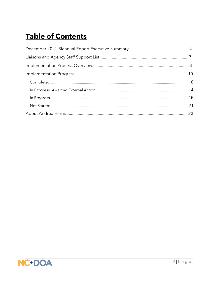# **Table of Contents**

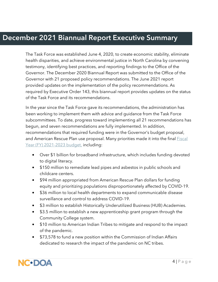### December 2021 Biannual Report Executive Summary

The Task Force was established June 4, 2020, to create economic stability, eliminate health disparities, and achieve environmental justice in North Carolina by convening testimony, identifying best practices, and reporting findings to the Office of the Governor. The December 2020 Biannual Report was submitted to the Office of the Governor with 21 proposed policy recommendations. The June 2021 report provided updates on the implementation of the policy recommendations. As required by Executive Order 143, this biannual report provides updates on the status of the Task Force and its recommendations.

In the year since the Task Force gave its recommendations, the administration has been working to implement them with advice and guidance from the Task Force subcommittees. To date, progress toward implementing all 21 recommendations has begun, and seven recommendations are fully implemented. In addition, recommendations that required funding were in the Governor's budget proposal, and American Rescue Plan use proposal. Many priorities made it into the final **Fiscal** [Year \(FY\) 2021-2023](https://www.ncleg.gov/Sessions/2021/Bills/Senate/PDF/S105v7.pdf) budget, including:

- Over \$1 billion for broadband infrastructure, which includes funding devoted to digital literacy.
- \$150 million to remediate lead pipes and asbestos in public schools and childcare centers.
- \$94 million appropriated from American Rescue Plan dollars for funding equity and prioritizing populations disproportionately affected by COVID-19.
- \$36 million to local health departments to expand communicable disease surveillance and control to address COVID-19.
- \$3 million to establish Historically Underutilized Business (HUB) Academies.
- \$3.5 million to establish a new apprenticeship grant program through the Community College system.
- \$10 million to American Indian Tribes to mitigate and respond to the impact of the pandemic.
- \$73,578 to fund a new position within the Commission of Indian Affairs dedicated to research the impact of the pandemic on NC tribes.

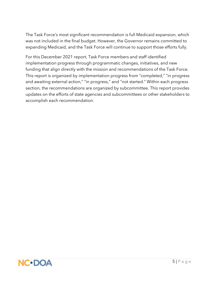The Task Force's most significant recommendation is full Medicaid expansion, which was not included in the final budget. However, the Governor remains committed to expanding Medicaid, and the Task Force will continue to support those efforts fully.

For this December 2021 report, Task Force members and staff identified implementation progress through programmatic changes, initiatives, and new funding that align directly with the mission and recommendations of the Task Force. This report is organized by implementation progress from "completed," "in progress and awaiting external action," "in progress," and "not started." Within each progress section, the recommendations are organized by subcommittee. This report provides updates on the efforts of state agencies and subcommittees or other stakeholders to accomplish each recommendation.

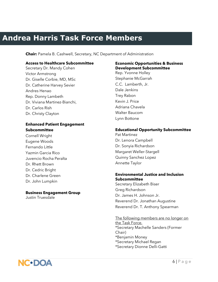# **Andrea Harris Task Force Members**

**Chair:** Pamela B. Cashwell, Secretary, NC Department of Administration

#### **Access to Healthcare Subcommittee**

Secretary Dr. Mandy Cohen Victor Armstrong Dr. Giselle Corbie, MD, MSc Dr. Catherine Harvey Sevier Andres Henao Rep. Donny Lambeth  Dr. Viviana Martinez-Bianchi, Dr. Carlos Rish Dr. Christy Clayton

#### **Enhanced Patient Engagement Subcommittee**

Cornell Wright Eugene Woods Fernando Little Yazmin Garcia Rico Juvencio Rocha Peralta Dr. Rhett Brown Dr. Cedric Bright Dr. Charlene Green Dr. John Lumpkin

#### **Business Engagement Group**

Justin Truesdale

#### **Economic Opportunities & Business Development Subcommittee**

Rep. Yvonne Holley Stephanie McGarrah C.C. Lamberth, Jr. Dale Jenkins Trey Rabon Kevin J. Price Adriana Chavela Walter Baucom Lynn Bottone

#### **Educational Opportunity Subcommittee**

Pat Martinez Dr. Lenora Campbell Dr. Sonyia Richardson Margaret Weller-Stargell Quinny Sanchez Lopez Annette Taylor

#### **Environmental Justice and Inclusion Subcommittee**

Secretary Elizabeth Biser Greg Richardson Dr. James H. Johnson Jr. Reverend Dr. Jonathan Augustine Reverend Dr. T. Anthony Spearman

The following members are no longer on the Task Force. \*Secretary Machelle Sanders (Former Chair) \*Benjamin Money \*Secretary Michael Regan \*Secretary Dionne Delli-Gatti

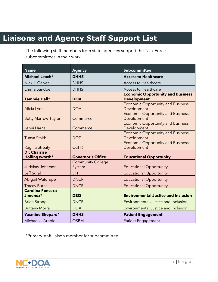# **Liaisons and Agency Staff Support List**

The following staff members from state agencies support the Task Force subcommittees in their work.

| <b>Name</b>                           | <b>Agency</b>                      | <b>Subcommittee</b>                                            |
|---------------------------------------|------------------------------------|----------------------------------------------------------------|
| Michael Leach*                        | <b>DHHS</b>                        | <b>Access to Healthcare</b>                                    |
| Nick J. Galvez                        | <b>DHHS</b>                        | <b>Access to Healthcare</b>                                    |
| Emma Sandoe                           | <b>DHHS</b>                        | <b>Access to Healthcare</b>                                    |
| Tammie Hall*                          | <b>DOA</b>                         | <b>Economic Opportunity and Business</b><br><b>Development</b> |
| Alicia Lyon                           | <b>DOA</b>                         | <b>Economic Opportunity and Business</b><br>Development        |
| <b>Betty Marrow-Taylor</b>            | Commerce                           | <b>Economic Opportunity and Business</b><br>Development        |
| Jenni Harris                          | Commerce                           | <b>Economic Opportunity and Business</b><br>Development        |
| Tunya Smith                           | <b>DOT</b>                         | <b>Economic Opportunity and Business</b><br>Development        |
| <b>Regina Streaty</b>                 | <b>OSHR</b>                        | <b>Economic Opportunity and Business</b><br>Development        |
| <b>Dr. Charrise</b><br>Hollingsworth* | <b>Governor's Office</b>           | <b>Educational Opportunity</b>                                 |
| Judykay Jefferson                     | <b>Community College</b><br>System | <b>Educational Opportunity</b>                                 |
| <b>Jeff Sural</b>                     | <b>DIT</b>                         | <b>Educational Opportunity</b>                                 |
| Abigail Waldrupe                      | <b>DNCR</b>                        | <b>Educational Opportunity</b>                                 |
| <b>Tracey Burns</b>                   | <b>DNCR</b>                        | <b>Educational Opportunity</b>                                 |
| <b>Carolina Fonseca</b><br>Jimenez*   | <b>DEQ</b>                         | <b>Environmental Justice and Inclusion</b>                     |
| <b>Brian Strong</b>                   | <b>DNCR</b>                        | <b>Environmental Justice and Inclusion</b>                     |
| <b>Brittany Morra</b>                 | <b>DOA</b>                         | <b>Environmental Justice and Inclusion</b>                     |
| Yasmine Shepard*                      | <b>DHHS</b>                        | <b>Patient Engagement</b>                                      |
| Michael J. Arnold                     | <b>OSBM</b>                        | <b>Patient Engagement</b>                                      |

\*Primary staff liaison member for subcommittee

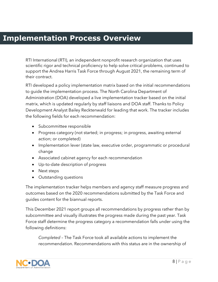# **Implementation Process Overview**

RTI International (RTI), an independent nonprofit research organization that uses scientific rigor and technical proficiency to help solve critical problems, continued to support the Andrea Harris Task Force through August 2021, the remaining term of their contract.

RTI developed a policy implementation matrix based on the initial recommendations to guide the implementation process. The North Carolina Department of Administration (DOA) developed a live implementation tracker based on the initial matrix, which is updated regularly by staff liaisons and DOA staff. Thanks to Policy Development Analyst Bailey Recktenwald for leading that work. The tracker includes the following fields for each recommendation:

- Subcommittee responsible
- Progress category (not started; in progress; in progress, awaiting external action; or completed)
- Implementation lever (state law, executive order, programmatic or procedural change
- Associated cabinet agency for each recommendation
- Up-to-date description of progress
- Next steps
- Outstanding questions

The implementation tracker helps members and agency staff measure progress and outcomes based on the 2020 recommendations submitted by the Task Force and guides content for the biannual reports.

This December 2021 report groups all recommendations by progress rather than by subcommittee and visually illustrates the progress made during the past year. Task Force staff determine the progress category a recommendation falls under using the following definitions:

*Completed* – The Task Force took all available actions to implement the recommendation. Recommendations with this status are in the ownership of

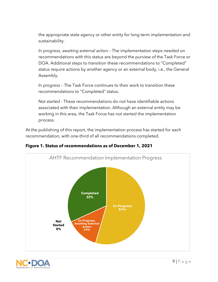the appropriate state agency or other entity for long term implementation and sustainability.

*In progress, awaiting external action* – The implementation steps needed on recommendations with this status are beyond the purview of the Task Force or DOA. Additional steps to transition these recommendations to "Completed" status require actions by another agency or an external body, i.e., the General Assembly.

*In progress* – The Task Force continues to their work to transition these recommendations to "Completed" status.

*Not started* - These recommendations do not have identifiable actions associated with their implementation. Although an external entity may be working in this area, the Task Force has not started the implementation process.

At the publishing of this report, the implementation process has started for each recommendation, with one-third of all recommendations completed.



**Figure 1. Status of recommendations as of December 1, 2021**

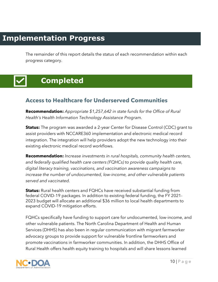# **Implementation Progress**

The remainder of this report details the status of each recommendation within each progress category.

# **Completed**

### **Access to Healthcare for Underserved Communities**

**Recommendation:** *Appropriate \$1,257,642 in state funds for the Office of Rural Health's Health Information Technology Assistance Program.*

**Status:** The program was awarded a 2-year Center for Disease Control (CDC) grant to  assist providers with NCCARE360 implementation and electronic medical record integration. The integration will help providers adopt the new technology into their integration. The integration will help provider<br>existing electronic medical record workflows.

**Recommendation:** *Increase investments in rural hospitals, community health centers, and federally qualified health care centers (FQHCs) to provide quality health care,*  digital literacy training, vaccinations, and vaccination awareness campaigns to *increase the number of undocumented, low-income, and other vulnerable patients served and vaccinated.*

**Status:** Rural health centers and FQHCs have received substantial funding from federal COVID-19 packages. In addition to existing federal funding, the FY 2021- 2023 budget will allocate an additional \$36 million to local health departments to expand COVID-19 mitigation efforts.

FQHCs specifically have funding to support care for undocumented, low-income, and other vulnerable patients. The North Carolina Department of Health and Human Services (DHHS) has also been in regular communication with migrant farmworker advocacy groups to provide support for vulnerable frontline farmworkers and promote vaccinations in farmworker communities. In addition, the DHHS Office of Rural Health offers health equity training to hospitals and will share lessons learned

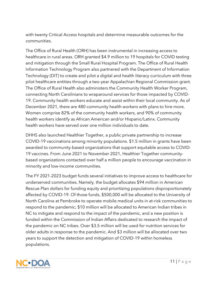with twenty Critical Access hospitals and determine measurable outcomes for the communities.

The Office of Rural Health (ORH) has been instrumental in increasing access to healthcare in rural areas. ORH granted \$4.9 million to 19 hospitals for COVID testing and mitigation through the Small Rural Hospital Program. The Office of Rural Health Information Technology Program also partnered with the Department of Information Technology (DIT) to create and pilot a digital and health literacy curriculum with three pilot healthcare entities through a two-year Appalachian Regional Commission grant. The Office of Rural Health also administers the Community Health Worker Program, connecting North Carolinians to wraparound services for those impacted by COVID-19. Community health workers educate and assist within their local community. As of December 2021, there are 480 community health workers with plans to hire more. Women comprise 82% of the community health workers, and 90% of community health workers identify as African American and/or Hispanic/Latinx. Community health workers have served over one million individuals to date.

DHHS also launched Healthier Together, a public private partnership to increase COVID-19 vaccinations among minority populations. \$1.5 million in grants have been awarded to community-based organizations that support equitable access to COVID-19 vaccines. From June 2021 to November 2021, Healthier Together communitybased organizations contacted over half a million people to encourage vaccination in minority and low-income communities.

The FY 2021-2023 budget funds several initiatives to improve access to healthcare for underserved communities. Namely, the budget allocates \$94 million in American Rescue Plan dollars for funding equity and prioritizing populations disproportionately affected by COVID-19. Of those funds, \$500,000 will be allocated to the University of North Carolina at Pembroke to operate mobile medical units in at-risk communities to respond to the pandemic; \$10 million will be allocated to American Indian tribes in NC to mitigate and respond to the impact of the pandemic, and a new position is funded within the Commission of Indian Affairs dedicated to research the impact of the pandemic on NC tribes. Over \$3.5 million will be used for nutrition services for older adults in response to the pandemic. And \$3 million will be allocated over two years to support the detection and mitigation of COVID-19 within homeless populations.

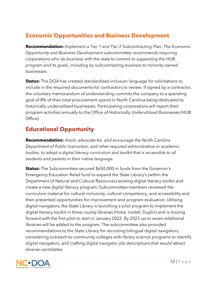### **Economic Opportunities and Business Development**

**Recommendation:** *Implement a Tier 1 and Tier 2 Subcontracting Plan: The Economic Opportunity and Business Development subcommittee recommends requiring corporations who do business with the state to commit to supporting the HUB program and its goals, including by subcontracting business to minority-owned businesses.*

**Status:** The DOA has created standardized inclusion language for solicitations to include in the required documents for contractors to review. If signed by a contractor, the voluntary memorandum of understanding commits the company to a spending goal of 8% of their total procurement spend in North Carolina being dedicated to historically underutilized businesses. Participating corporations will report their program activities annually to the Office of Historically Underutilized Businesses (HUB Office).

#### **Educational Opportunity**

**Recommendation:** *Assist, advocate for, and encourage the North Carolina Department of Public Instruction, and other required administrative or academic bodies, to adopt a digital literacy curriculum and toolkit that is accessible to all students and parents in their native language.*

**Status:** The Subcommittee secured \$650,000 in funds from the Governor's Emergency Education Relief fund to expand the State Library's (within the Department of Natural and Cultural Resources) existing digital literacy toolkit and create a new digital literacy program. Subcommittee members reviewed the curriculum material for cultural inclusivity, cultural competency, and accessibility and then presented opportunities for improvement and program evaluation. Utilizing digital navigators, the State Library is launching a pilot program to implement the digital literacy toolkit in three county libraries (Hoke, Iredell, Duplin) and is moving forward with the first pilot to start in January 2022. By 2023 up to seven additional libraries will be added to the program. The subcommittee also provided recommendations to the State Library for recruiting bilingual digital navigators, considering outreach to community colleges with library science programs to identify digital navigators, and crafting digital navigator job descriptions that would attract diverse candidates.

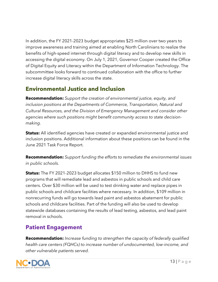In addition, the FY 2021-2023 budget appropriates \$25 million over two years to improve awareness and training aimed at enabling North Carolinians to realize the benefits of high-speed internet through digital literacy and to develop new skills in accessing the digital economy. On July 1, 2021, Governor Cooper created the Office of Digital Equity and Literacy within the Department of Information Technology. The subcommittee looks forward to continued collaboration with the office to further increase digital literacy skills across the state.

#### **Environmental Justice and Inclusion**

**Recommendation:** *Support the creation of environmental justice, equity, and inclusion positions at the Departments of Commerce, Transportation, Natural and Cultural Resources, and the Division of Emergency Management and consider other agencies where such positions might benefit community access to state decisionmaking.*

**Status:** All identified agencies have created or expanded environmental justice and inclusion positions. Additional information about these positions can be found in the June 2021 Task Force Report.

**Recommendation:** *Support funding the efforts to remediate the environmental issues in public schools.*

**Status:** The FY 2021-2023 budget allocates \$150 million to DHHS to fund new programs that will remediate lead and asbestos in public schools and child care centers. Over \$30 million will be used to test drinking water and replace pipes in public schools and childcare facilities where necessary. In addition, \$109 million in nonrecurring funds will go towards lead paint and asbestos abatement for public schools and childcare facilities. Part of the funding will also be used to develop statewide databases containing the results of lead testing, asbestos, and lead paint removal in schools.

### **Patient Engagement**

**Recommendation:** *Increase funding to strengthen the capacity of federally qualified health care centers (FQHCs) to increase number of undocumented, low-income, and other vulnerable patients served.*

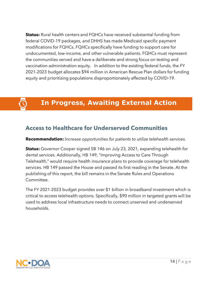**Status:** Rural health centers and FQHCs have received substantial funding from federal COVID-19 packages, and DHHS has made Medicaid specific payment modifications for FQHCs. FQHCs specifically have funding to support care for undocumented, low-income, and other vulnerable patients. FQHCs must represent the communities served and have a deliberate and strong focus on testing and vaccination administration equity. In addition to the existing federal funds, the FY 2021-2023 budget allocates \$94 million in American Rescue Plan dollars for funding equity and prioritizing populations disproportionately affected by COVID-19.

### **In Progress, Awaiting External Action**

#### **Access to Healthcare for Underserved Communities**

#### **Recommendation:** *Increase opportunities for patients to utilize telehealth services.*

**Status:** Governor Cooper signed SB 146 on July 23, 2021, expanding telehealth for dental services. Additionally, HB 149, "Improving Access to Care Through Telehealth," would require health insurance plans to provide coverage for telehealth  services. HB 149 passed the House and passed its first reading in the Senate. At the publishing of this report, the bill remains in the Senate Rules and Operations  Committee.

The FY 2021-2023 budget provides over \$1 billion in broadband investment which is critical to access telehealth options. Specifically, \$90 million in targeted grants will be used to address local infrastructure needs to connect unserved and underserved households.

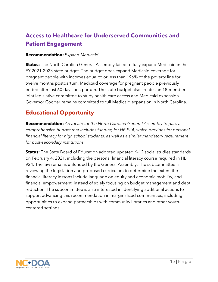### **Access to Healthcare for Underserved Communities and Patient Engagement**

#### **Recommendation:** *Expand Medicaid.*

**Status:** The North Carolina General Assembly failed to fully expand Medicaid in the FY 2021-2023 state budget. The budget does expand Medicaid coverage for pregnant people with incomes equal to or less than 196% of the poverty line for twelve months postpartum. Medicaid coverage for pregnant people previously ended after just 60 days postpartum. The state budget also creates an 18-member joint legislative committee to study health care access and Medicaid expansion. Governor Cooper remains committed to full Medicaid expansion in North Carolina.

#### **Educational Opportunity**

**Recommendation:** *Advocate for the North Carolina General Assembly to pass a comprehensive budget that includes funding for HB 924, which provides for personal financial literacy for high school students, as well as a similar mandatory requirement for post-secondary institutions.*

**Status:** The State Board of Education adopted updated K-12 social studies standards on February 4, 2021, including the personal financial literacy course required in HB 924. The law remains unfunded by the General Assembly. The subcommittee is reviewing the legislation and proposed curriculum to determine the extent the financial literacy lessons include language on equity and economic mobility, and financial empowerment, instead of solely focusing on budget management and debt reduction. The subcommittee is also interested in identifying additional actions to support advancing this recommendation in marginalized communities, including opportunities to expand partnerships with community libraries and other youthcentered settings.

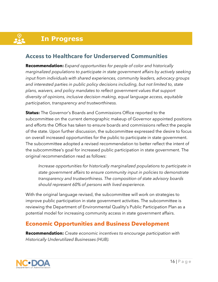# **In Progress**

#### **Access to Healthcare for Underserved Communities**

**Recommendation:** *Expand opportunities for people of color and historically marginalized populations to participate in state government affairs by actively seeking input from individuals with shared experiences, community leaders, advocacy groups and interested parties in public policy decisions including, but not limited to, state plans, waivers, and policy mandates to reflect government values that support diversity of opinions, inclusive decision making, equal language access, equitable participation, transparency and trustworthiness.*

**Status:** The Governor's Boards and Commissions Office reported to the subcommittee on the current demographic makeup of Governor appointed positions and efforts the Office has taken to ensure boards and commissions reflect the people of the state. Upon further discussion, the subcommittee expressed the desire to focus on overall increased opportunities for the public to participate in state government. The subcommittee adopted a revised recommendation to better reflect the intent of the subcommittee's goal for increased public participation in state government. The original recommendation read as follows:

*Increase opportunities for historically marginalized populations to participate in state government affairs to ensure community input in policies to demonstrate transparency and trustworthiness. The composition of state advisory boards should represent 60% of persons with lived experience.* 

With the original language revised, the subcommittee will work on strategies to improve public participation in state government activities. The subcommittee is reviewing the Department of Environmental Quality's Public Participation Plan as a potential model for increasing community access in state government affairs.

#### **Economic Opportunities and Business Development**

**Recommendation:** *Create economic incentives to encourage participation with Historically Underutilized Businesses (HUB).*

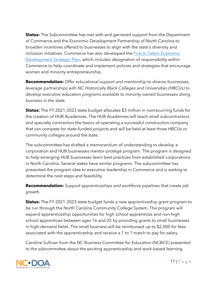**Status:** The Subcommittee has met with and garnered support from the Department of Commerce and the Economic Development Partnership of North Carolina to broaden incentives offered to businesses to align with the state's diversity and inclusion initiatives. Commerce has also developed the **First In Talent Economic** Development [Strategic Plan,](https://www.nccommerce.com/documents/first-talent-strategic-economic-development-plan-state-north-carolina) which includes designation of responsibility within Commerce to help coordinate and implement policies and strategies that encourage women and minority entrepreneurship.

**Recommendation:** *Offer educational support and mentorship to diverse businesses, leverage partnerships with NC Historically Black Colleges and Universities (HBCUs) to develop executive education programs available to minority-owned businesses doing business in the state.*

**Status:** The FY 2021-2023 state budget allocates \$3 million in nonrecurring funds for the creation of HUB Academies. The HUB Academies will teach small subcontractors and specialty contractors the basics of operating a successful construction company that can compete for state-funded projects and will be held at least three HBCUs or community colleges around the state.

The subcommittee has drafted a memorandum of understanding to develop a corporation and HUB businesses mentor-protégé program. The program is designed to help emerging HUB businesses learn best practices from established corporations in North Carolina. Several states have similar programs. The subcommittee has presented the program idea to executive leadership in Commerce and is waiting to determine the next steps and feasibility.

#### **Recommendation:** *Support apprenticeships and workforce pipelines that create job growth.*

**Status:** The FY 2021-2023 state budget funds a new apprenticeship grant program to be run through the North Carolina Community College System. The program will expand apprenticeship opportunities for high school apprentices and non-high school apprentices between ages 16 and 25 by providing grants to small businesses in high-demand fields. The small business will be reimbursed up to \$2,000 for fees associated with the apprenticeship and receive a 1 to 1 match to pay for salary.

Caroline Sullivan from the NC Business Committee for Education (NCBCE) presented to the subcommittee about the exciting apprenticeship and work-based learning

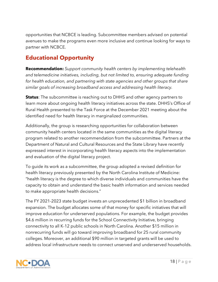opportunities that NCBCE is leading. Subcommittee members advised on potential avenues to make the programs even more inclusive and continue looking for ways to partner with NCBCE.

### **Educational Opportunity**

**Recommendation:** *Support community health centers by implementing telehealth and telemedicine initiatives, including, but not limited to, ensuring adequate funding*  for health education, and partnering with state agencies and other groups that share *similar goals of increasing broadband access and addressing health literacy.*

**Status**: The subcommittee is reaching out to DHHS and other agency partners to learn more about ongoing health literacy initiatives across the state. DHHS's Office of Rural Health presented to the Task Force at the December 2021 meeting about the identified need for health literacy in marginalized communities.

Additionally, the group is researching opportunities for collaboration between community health centers located in the same communities as the digital literacy program related to another recommendation from the subcommittee. Partners at the Department of Natural and Cultural Resources and the State Library have recently expressed interest in incorporating health literacy aspects into the implementation and evaluation of the digital literacy project.

To guide its work as a subcommittee, the group adopted a revised definition for health literacy previously presented by the North Carolina Institute of Medicine: "health literacy is the degree to which diverse individuals and communities have the capacity to obtain and understand the basic health information and services needed to make appropriate health decisions."

The FY 2021-2023 state budget invests an unprecedented \$1 billion in broadband expansion. The budget allocates some of that money for specific initiatives that will improve education for underserved populations. For example, the budget provides \$4.6 million in recurring funds for the School Connectivity Initiative, bringing connectivity to all K-12 public schools in North Carolina. Another \$15 million in nonrecurring funds will go toward improving broadband for 25 rural community colleges. Moreover, an additional \$90 million in targeted grants will be used to address local infrastructure needs to connect unserved and underserved households.

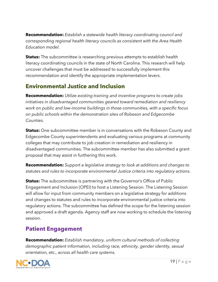**Recommendation:** *Establish a statewide health literacy coordinating council and corresponding regional health literacy councils as consistent with the Area Health Education model.*

**Status:** The subcommittee is researching previous attempts to establish health literacy coordinating councils in the state of North Carolina. This research will help uncover challenges that must be addressed to successfully implement this recommendation and identify the appropriate implementation levers.

#### **Environmental Justice and Inclusion**

**Recommendation:** *Utilize existing training and incentive programs to create jobs initiatives in disadvantaged communities geared toward remediation and resiliency work on public and low-income buildings in those communities, with a specific focus on public schools within the demonstration sites of Robeson and Edgecombe Counties.*

**Status:** One subcommittee member is in conversations with the Robeson County and Edgecombe County superintendents and evaluating various programs at community colleges that may contribute to job creation in remediation and resiliency in disadvantaged communities. The subcommittee member has also submitted a grant proposal that may assist in furthering this work.

**Recommendation:** *Support a legislative strategy to look at additions and changes to statutes and rules to incorporate environmental Justice criteria into regulatory actions.*

**Status:** The subcommittee is partnering with the Governor's Office of Public Engagement and Inclusion (OPEI) to host a Listening Session. The Listening Session will allow for input from community members on a legislative strategy for additions and changes to statutes and rules to incorporate environmental justice criteria into regulatory actions. The subcommittee has defined the scope for the listening session and approved a draft agenda. Agency staff are now working to schedule the listening session.

#### **Patient Engagement**

**Recommendation:** *Establish mandatory, uniform cultural methods of collecting demographic patient information, including race, ethnicity, gender identity, sexual orientation, etc., across all health care systems.*

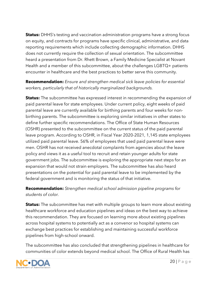**Status:** DHHS's testing and vaccination administration programs have a strong focus on equity, and contracts for programs have specific clinical, administrative, and data reporting requirements which include collecting demographic information. DHHS does not currently require the collection of sexual orientation. The subcommittee heard a presentation from Dr. Rhett Brown, a Family Medicine Specialist at Novant Health and a member of this subcommittee, about the challenges LGBTQ+ patients encounter in healthcare and the best practices to better serve this community.

**Recommendation:** *Ensure and strengthen medical sick leave policies for essential workers, particularly that of historically marginalized backgrounds.*

**Status:** The subcommittee has expressed interest in recommending the expansion of paid parental leave for state employees. Under current policy, eight weeks of paid parental leave are currently available for birthing parents and four weeks for nonbirthing parents. The subcommittee is exploring similar initiatives in other states to define further specific recommendations. The Office of State Human Resources (OSHR) presented to the subcommittee on the current status of the paid parental leave program. According to OSHR, in Fiscal Year 2020-2021, 1,145 state employees utilized paid parental leave. 56% of employees that used paid parental leave were men. OSHR has not received anecdotal complaints from agencies about the leave policy and views it as a useful tool to recruit and retain younger adults for state government jobs. The subcommittee is exploring the appropriate next steps for an expansion that would not strain employers. The subcommittee has also heard presentations on the potential for paid parental leave to be implemented by the federal government and is monitoring the status of that initiative.

**Recommendation:** *Strengthen medical school admission pipeline programs for students of color.*

**Status:** The subcommittee has met with multiple groups to learn more about existing healthcare workforce and education pipelines and ideas on the best way to achieve this recommendation. They are focused on learning more about existing pipelines across hospital systems to potentially act as a convenor so hospital systems can exchange best practices for establishing and maintaining successful workforce pipelines from high-school onward.

The subcommittee has also concluded that strengthening pipelines in healthcare for communities of color extends beyond medical school. The Office of Rural Health has

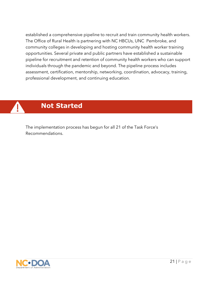established a comprehensive pipeline to recruit and train community health workers. The Office of Rural Health is partnering with NC HBCUs, UNC Pembroke, and community colleges in developing and hosting community health worker training opportunities. Several private and public partners have established a sustainable pipeline for recruitment and retention of community health workers who can support individuals through the pandemic and beyond. The pipeline process includes assessment, certification, mentorship, networking, coordination, advocacy, training, professional development, and continuing education.

### **Not Started**

The implementation process has begun for all 21 of the Task Force's Recommendations.

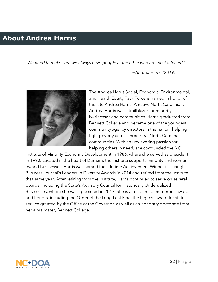### **About Andrea Harris**

*"We need to make sure we always have people at the table who are most affected."*

*−Andrea Harris (2019)*



The Andrea Harris Social, Economic, Environmental, and Health Equity Task Force is named in honor of the late Andrea Harris. A native North Carolinian, Andrea Harris was a trailblazer for minority businesses and communities. Harris graduated from Bennett College and became one of the youngest community agency directors in the nation, helping fight poverty across three rural North Carolina communities. With an unwavering passion for helping others in need, she co-founded the NC

Institute of Minority Economic Development in 1986, where she served as president in 1990. Located in the heart of Durham, the Institute supports minority and womenowned businesses. Harris was named the Lifetime Achievement Winner in Triangle Business Journal's Leaders in Diversity Awards in 2014 and retired from the Institute that same year. After retiring from the Institute, Harris continued to serve on several boards, including the State's Advisory Council for Historically Underutilized Businesses, where she was appointed in 2017. She is a recipient of numerous awards and honors, including the Order of the Long Leaf Pine, the highest award for state service granted by the Office of the Governor, as well as an honorary doctorate from her alma mater, Bennett College.